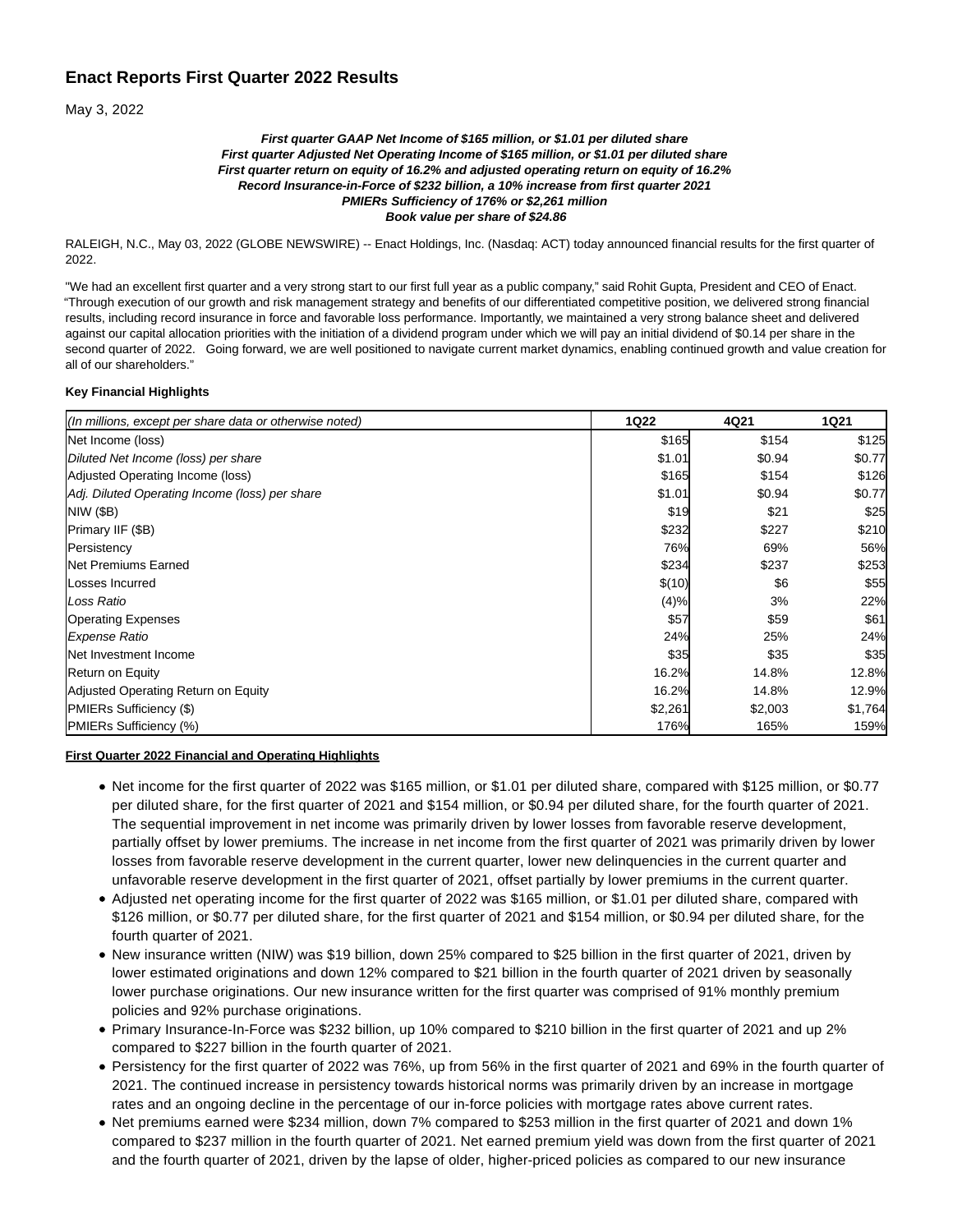# **Enact Reports First Quarter 2022 Results**

May 3, 2022

#### **First quarter GAAP Net Income of \$165 million, or \$1.01 per diluted share First quarter Adjusted Net Operating Income of \$165 million, or \$1.01 per diluted share First quarter return on equity of 16.2% and adjusted operating return on equity of 16.2% Record Insurance-in-Force of \$232 billion, a 10% increase from first quarter 2021 PMIERs Sufficiency of 176% or \$2,261 million Book value per share of \$24.86**

RALEIGH, N.C., May 03, 2022 (GLOBE NEWSWIRE) -- Enact Holdings, Inc. (Nasdaq: ACT) today announced financial results for the first quarter of 2022.

"We had an excellent first quarter and a very strong start to our first full year as a public company," said Rohit Gupta, President and CEO of Enact. "Through execution of our growth and risk management strategy and benefits of our differentiated competitive position, we delivered strong financial results, including record insurance in force and favorable loss performance. Importantly, we maintained a very strong balance sheet and delivered against our capital allocation priorities with the initiation of a dividend program under which we will pay an initial dividend of \$0.14 per share in the second quarter of 2022. Going forward, we are well positioned to navigate current market dynamics, enabling continued growth and value creation for all of our shareholders."

### **Key Financial Highlights**

| (In millions, except per share data or otherwise noted) | <b>1Q22</b> | 4Q21    | <b>1Q21</b> |
|---------------------------------------------------------|-------------|---------|-------------|
| Net Income (loss)                                       | \$165       | \$154   | \$125       |
| Diluted Net Income (loss) per share                     | \$1.01      | \$0.94  | \$0.77      |
| Adjusted Operating Income (loss)                        | \$165       | \$154   | \$126       |
| Adj. Diluted Operating Income (loss) per share          | \$1.01      | \$0.94  | \$0.77      |
| <b>NIW (\$B)</b>                                        | \$19        | \$21    | \$25        |
| Primary IIF (\$B)                                       | \$232       | \$227   | \$210       |
| Persistency                                             | 76%         | 69%     | 56%         |
| <b>Net Premiums Earned</b>                              | \$234       | \$237   | \$253       |
| Losses Incurred                                         | \$(10)      | \$6     | \$55        |
| Loss Ratio                                              | (4)%        | 3%      | 22%         |
| <b>Operating Expenses</b>                               | \$57        | \$59    | \$61        |
| <b>Expense Ratio</b>                                    | 24%         | 25%     | 24%         |
| Net Investment Income                                   | \$35        | \$35    | \$35        |
| <b>Return on Equity</b>                                 | 16.2%       | 14.8%   | 12.8%       |
| Adjusted Operating Return on Equity                     | 16.2%       | 14.8%   | 12.9%       |
| <b>PMIERs Sufficiency (\$)</b>                          | \$2,261     | \$2,003 | \$1,764     |
| PMIERs Sufficiency (%)                                  | 176%        | 165%    | 159%        |

#### **First Quarter 2022 Financial and Operating Highlights**

- Net income for the first quarter of 2022 was \$165 million, or \$1.01 per diluted share, compared with \$125 million, or \$0.77 per diluted share, for the first quarter of 2021 and \$154 million, or \$0.94 per diluted share, for the fourth quarter of 2021. The sequential improvement in net income was primarily driven by lower losses from favorable reserve development, partially offset by lower premiums. The increase in net income from the first quarter of 2021 was primarily driven by lower losses from favorable reserve development in the current quarter, lower new delinquencies in the current quarter and unfavorable reserve development in the first quarter of 2021, offset partially by lower premiums in the current quarter.
- Adjusted net operating income for the first quarter of 2022 was \$165 million, or \$1.01 per diluted share, compared with \$126 million, or \$0.77 per diluted share, for the first quarter of 2021 and \$154 million, or \$0.94 per diluted share, for the fourth quarter of 2021.
- New insurance written (NIW) was \$19 billion, down 25% compared to \$25 billion in the first quarter of 2021, driven by lower estimated originations and down 12% compared to \$21 billion in the fourth quarter of 2021 driven by seasonally lower purchase originations. Our new insurance written for the first quarter was comprised of 91% monthly premium policies and 92% purchase originations.
- Primary Insurance-In-Force was \$232 billion, up 10% compared to \$210 billion in the first quarter of 2021 and up 2% compared to \$227 billion in the fourth quarter of 2021.
- Persistency for the first quarter of 2022 was 76%, up from 56% in the first quarter of 2021 and 69% in the fourth quarter of 2021. The continued increase in persistency towards historical norms was primarily driven by an increase in mortgage rates and an ongoing decline in the percentage of our in-force policies with mortgage rates above current rates.
- Net premiums earned were \$234 million, down 7% compared to \$253 million in the first quarter of 2021 and down 1% compared to \$237 million in the fourth quarter of 2021. Net earned premium yield was down from the first quarter of 2021 and the fourth quarter of 2021, driven by the lapse of older, higher-priced policies as compared to our new insurance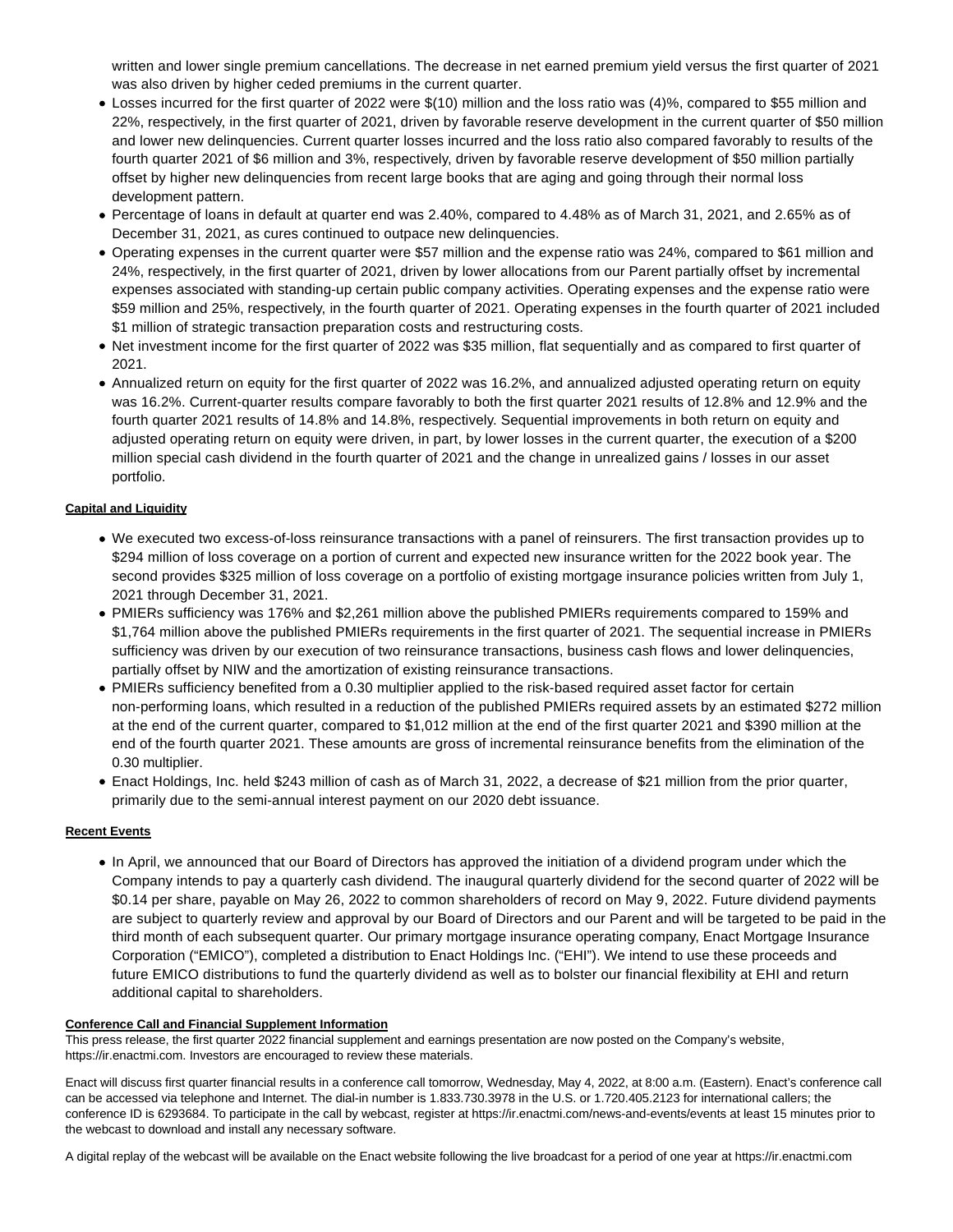written and lower single premium cancellations. The decrease in net earned premium yield versus the first quarter of 2021 was also driven by higher ceded premiums in the current quarter.

- Losses incurred for the first quarter of 2022 were \$(10) million and the loss ratio was (4)%, compared to \$55 million and 22%, respectively, in the first quarter of 2021, driven by favorable reserve development in the current quarter of \$50 million and lower new delinquencies. Current quarter losses incurred and the loss ratio also compared favorably to results of the fourth quarter 2021 of \$6 million and 3%, respectively, driven by favorable reserve development of \$50 million partially offset by higher new delinquencies from recent large books that are aging and going through their normal loss development pattern.
- Percentage of loans in default at quarter end was 2.40%, compared to 4.48% as of March 31, 2021, and 2.65% as of December 31, 2021, as cures continued to outpace new delinquencies.
- Operating expenses in the current quarter were \$57 million and the expense ratio was 24%, compared to \$61 million and 24%, respectively, in the first quarter of 2021, driven by lower allocations from our Parent partially offset by incremental expenses associated with standing-up certain public company activities. Operating expenses and the expense ratio were \$59 million and 25%, respectively, in the fourth quarter of 2021. Operating expenses in the fourth quarter of 2021 included \$1 million of strategic transaction preparation costs and restructuring costs.
- Net investment income for the first quarter of 2022 was \$35 million, flat sequentially and as compared to first quarter of 2021.
- Annualized return on equity for the first quarter of 2022 was 16.2%, and annualized adjusted operating return on equity was 16.2%. Current-quarter results compare favorably to both the first quarter 2021 results of 12.8% and 12.9% and the fourth quarter 2021 results of 14.8% and 14.8%, respectively. Sequential improvements in both return on equity and adjusted operating return on equity were driven, in part, by lower losses in the current quarter, the execution of a \$200 million special cash dividend in the fourth quarter of 2021 and the change in unrealized gains / losses in our asset portfolio.

### **Capital and Liquidity**

- We executed two excess-of-loss reinsurance transactions with a panel of reinsurers. The first transaction provides up to \$294 million of loss coverage on a portion of current and expected new insurance written for the 2022 book year. The second provides \$325 million of loss coverage on a portfolio of existing mortgage insurance policies written from July 1, 2021 through December 31, 2021.
- PMIERs sufficiency was 176% and \$2,261 million above the published PMIERs requirements compared to 159% and \$1,764 million above the published PMIERs requirements in the first quarter of 2021. The sequential increase in PMIERs sufficiency was driven by our execution of two reinsurance transactions, business cash flows and lower delinquencies, partially offset by NIW and the amortization of existing reinsurance transactions.
- PMIERs sufficiency benefited from a 0.30 multiplier applied to the risk-based required asset factor for certain non-performing loans, which resulted in a reduction of the published PMIERs required assets by an estimated \$272 million at the end of the current quarter, compared to \$1,012 million at the end of the first quarter 2021 and \$390 million at the end of the fourth quarter 2021. These amounts are gross of incremental reinsurance benefits from the elimination of the 0.30 multiplier.
- Enact Holdings, Inc. held \$243 million of cash as of March 31, 2022, a decrease of \$21 million from the prior quarter, primarily due to the semi-annual interest payment on our 2020 debt issuance.

### **Recent Events**

In April, we announced that our Board of Directors has approved the initiation of a dividend program under which the Company intends to pay a quarterly cash dividend. The inaugural quarterly dividend for the second quarter of 2022 will be \$0.14 per share, payable on May 26, 2022 to common shareholders of record on May 9, 2022. Future dividend payments are subject to quarterly review and approval by our Board of Directors and our Parent and will be targeted to be paid in the third month of each subsequent quarter. Our primary mortgage insurance operating company, Enact Mortgage Insurance Corporation ("EMICO"), completed a distribution to Enact Holdings Inc. ("EHI"). We intend to use these proceeds and future EMICO distributions to fund the quarterly dividend as well as to bolster our financial flexibility at EHI and return additional capital to shareholders.

### **Conference Call and Financial Supplement Information**

This press release, the first quarter 2022 financial supplement and earnings presentation are now posted on the Company's website, https://ir.enactmi.com. Investors are encouraged to review these materials.

Enact will discuss first quarter financial results in a conference call tomorrow, Wednesday, May 4, 2022, at 8:00 a.m. (Eastern). Enact's conference call can be accessed via telephone and Internet. The dial-in number is 1.833.730.3978 in the U.S. or 1.720.405.2123 for international callers; the conference ID is 6293684. To participate in the call by webcast, register at https://ir.enactmi.com/news-and-events/events at least 15 minutes prior to the webcast to download and install any necessary software.

A digital replay of the webcast will be available on the Enact website following the live broadcast for a period of one year at https://ir.enactmi.com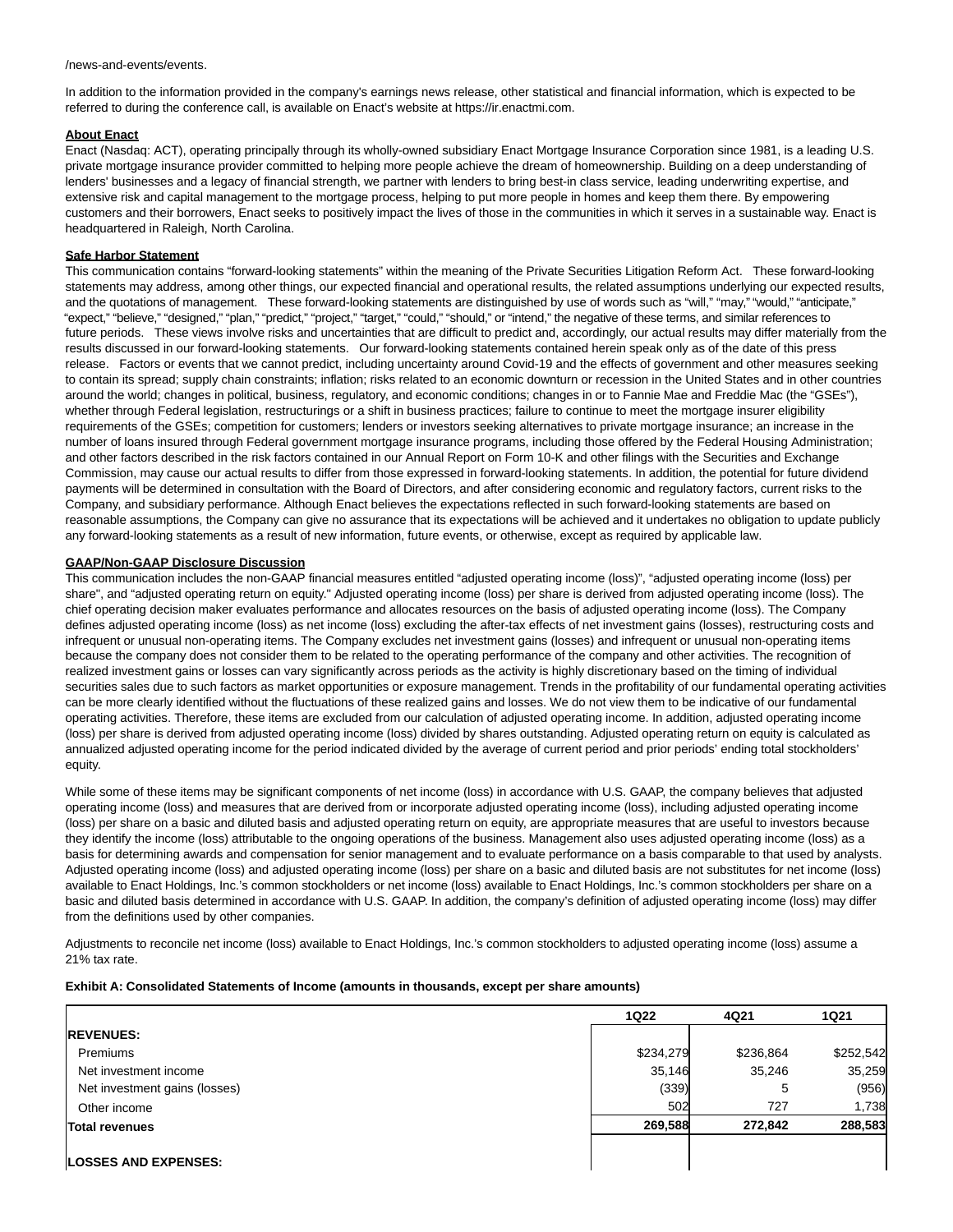/news-and-events/events.

In addition to the information provided in the company's earnings news release, other statistical and financial information, which is expected to be referred to during the conference call, is available on Enact's website at https://ir.enactmi.com.

#### **About Enact**

Enact (Nasdaq: ACT), operating principally through its wholly-owned subsidiary Enact Mortgage Insurance Corporation since 1981, is a leading U.S. private mortgage insurance provider committed to helping more people achieve the dream of homeownership. Building on a deep understanding of lenders' businesses and a legacy of financial strength, we partner with lenders to bring best-in class service, leading underwriting expertise, and extensive risk and capital management to the mortgage process, helping to put more people in homes and keep them there. By empowering customers and their borrowers, Enact seeks to positively impact the lives of those in the communities in which it serves in a sustainable way. Enact is headquartered in Raleigh, North Carolina.

### **Safe Harbor Statement**

This communication contains "forward-looking statements" within the meaning of the Private Securities Litigation Reform Act. These forward-looking statements may address, among other things, our expected financial and operational results, the related assumptions underlying our expected results, and the quotations of management. These forward-looking statements are distinguished by use of words such as "will," "may," "would," "anticipate," "expect," "believe," "designed," "plan," "predict," "project," "target," "could," "should," or "intend," the negative of these terms, and similar references to future periods. These views involve risks and uncertainties that are difficult to predict and, accordingly, our actual results may differ materially from the results discussed in our forward-looking statements. Our forward-looking statements contained herein speak only as of the date of this press release. Factors or events that we cannot predict, including uncertainty around Covid-19 and the effects of government and other measures seeking to contain its spread; supply chain constraints; inflation; risks related to an economic downturn or recession in the United States and in other countries around the world; changes in political, business, regulatory, and economic conditions; changes in or to Fannie Mae and Freddie Mac (the "GSEs"), whether through Federal legislation, restructurings or a shift in business practices; failure to continue to meet the mortgage insurer eligibility requirements of the GSEs; competition for customers; lenders or investors seeking alternatives to private mortgage insurance; an increase in the number of loans insured through Federal government mortgage insurance programs, including those offered by the Federal Housing Administration; and other factors described in the risk factors contained in our Annual Report on Form 10-K and other filings with the Securities and Exchange Commission, may cause our actual results to differ from those expressed in forward-looking statements. In addition, the potential for future dividend payments will be determined in consultation with the Board of Directors, and after considering economic and regulatory factors, current risks to the Company, and subsidiary performance. Although Enact believes the expectations reflected in such forward-looking statements are based on reasonable assumptions, the Company can give no assurance that its expectations will be achieved and it undertakes no obligation to update publicly any forward-looking statements as a result of new information, future events, or otherwise, except as required by applicable law.

### **GAAP/Non-GAAP Disclosure Discussion**

This communication includes the non-GAAP financial measures entitled "adjusted operating income (loss)", "adjusted operating income (loss) per share", and "adjusted operating return on equity." Adjusted operating income (loss) per share is derived from adjusted operating income (loss). The chief operating decision maker evaluates performance and allocates resources on the basis of adjusted operating income (loss). The Company defines adjusted operating income (loss) as net income (loss) excluding the after-tax effects of net investment gains (losses), restructuring costs and infrequent or unusual non-operating items. The Company excludes net investment gains (losses) and infrequent or unusual non-operating items because the company does not consider them to be related to the operating performance of the company and other activities. The recognition of realized investment gains or losses can vary significantly across periods as the activity is highly discretionary based on the timing of individual securities sales due to such factors as market opportunities or exposure management. Trends in the profitability of our fundamental operating activities can be more clearly identified without the fluctuations of these realized gains and losses. We do not view them to be indicative of our fundamental operating activities. Therefore, these items are excluded from our calculation of adjusted operating income. In addition, adjusted operating income (loss) per share is derived from adjusted operating income (loss) divided by shares outstanding. Adjusted operating return on equity is calculated as annualized adjusted operating income for the period indicated divided by the average of current period and prior periods' ending total stockholders' equity.

While some of these items may be significant components of net income (loss) in accordance with U.S. GAAP, the company believes that adjusted operating income (loss) and measures that are derived from or incorporate adjusted operating income (loss), including adjusted operating income (loss) per share on a basic and diluted basis and adjusted operating return on equity, are appropriate measures that are useful to investors because they identify the income (loss) attributable to the ongoing operations of the business. Management also uses adjusted operating income (loss) as a basis for determining awards and compensation for senior management and to evaluate performance on a basis comparable to that used by analysts. Adjusted operating income (loss) and adjusted operating income (loss) per share on a basic and diluted basis are not substitutes for net income (loss) available to Enact Holdings, Inc.'s common stockholders or net income (loss) available to Enact Holdings, Inc.'s common stockholders per share on a basic and diluted basis determined in accordance with U.S. GAAP. In addition, the company's definition of adjusted operating income (loss) may differ from the definitions used by other companies.

Adjustments to reconcile net income (loss) available to Enact Holdings, Inc.'s common stockholders to adjusted operating income (loss) assume a 21% tax rate.

#### **Exhibit A: Consolidated Statements of Income (amounts in thousands, except per share amounts)**

|                               | <b>1Q22</b> | 4Q21      | <b>1Q21</b> |
|-------------------------------|-------------|-----------|-------------|
| <b>REVENUES:</b>              |             |           |             |
| Premiums                      | \$234,279   | \$236,864 | \$252,542   |
| Net investment income         | 35.146      | 35,246    | 35,259      |
| Net investment gains (losses) | (339)       | 5         | (956)       |
| Other income                  | 502         | 727       | 1,738       |
| <b>Total revenues</b>         | 269.588     | 272.842   | 288,583     |
|                               |             |           |             |
| <b>LOSSES AND EXPENSES:</b>   |             |           |             |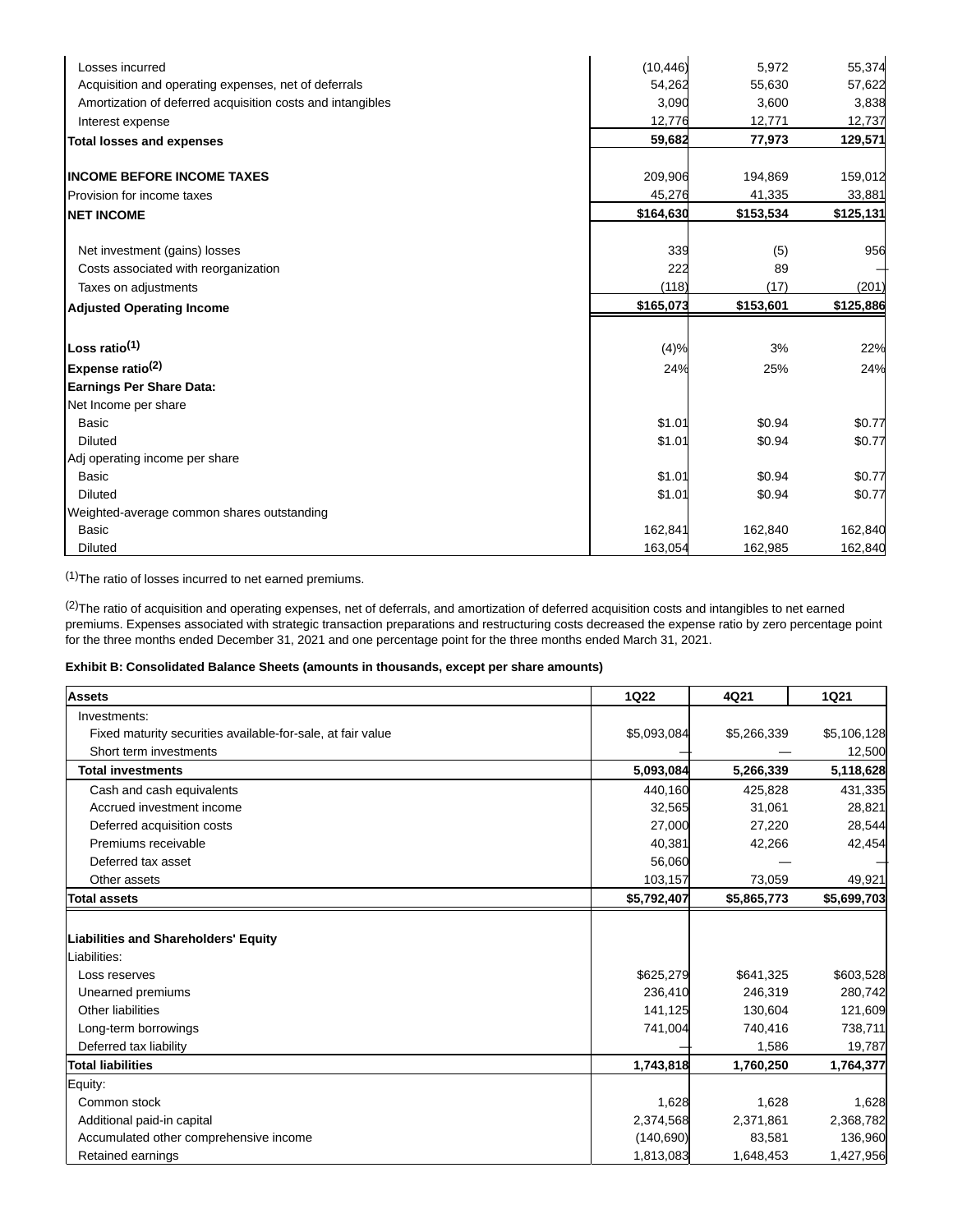| Losses incurred                                            | (10, 446) | 5,972     | 55,374    |
|------------------------------------------------------------|-----------|-----------|-----------|
| Acquisition and operating expenses, net of deferrals       | 54,262    | 55,630    | 57,622    |
| Amortization of deferred acquisition costs and intangibles | 3,090     | 3,600     | 3,838     |
| Interest expense                                           | 12,776    | 12,771    | 12,737    |
| <b>Total losses and expenses</b>                           | 59,682    | 77,973    | 129,571   |
| <b>INCOME BEFORE INCOME TAXES</b>                          | 209,906   | 194,869   | 159,012   |
| Provision for income taxes                                 | 45,276    | 41,335    | 33,881    |
| <b>NET INCOME</b>                                          | \$164,630 | \$153,534 | \$125,131 |
| Net investment (gains) losses                              | 339       | (5)       | 956       |
| Costs associated with reorganization                       | 222       | 89        |           |
| Taxes on adjustments                                       | (118)     | (17)      | (201)     |
| <b>Adjusted Operating Income</b>                           | \$165,073 | \$153,601 | \$125,886 |
|                                                            |           |           |           |
| Loss ratio <sup>(1)</sup>                                  | (4)%      | 3%        | 22%       |
| Expense ratio <sup>(2)</sup>                               | 24%       | 25%       | 24%       |
| <b>Earnings Per Share Data:</b>                            |           |           |           |
| Net Income per share                                       |           |           |           |
| <b>Basic</b>                                               | \$1.01    | \$0.94    | \$0.77    |
| <b>Diluted</b>                                             | \$1.01    | \$0.94    | \$0.77    |
| Adj operating income per share                             |           |           |           |
| <b>Basic</b>                                               | \$1.01    | \$0.94    | \$0.77    |
| <b>Diluted</b>                                             | \$1.01    | \$0.94    | \$0.77    |
| Weighted-average common shares outstanding                 |           |           |           |
| <b>Basic</b>                                               | 162,841   | 162,840   | 162,840   |
| <b>Diluted</b>                                             | 163,054   | 162,985   | 162,840   |

(1)The ratio of losses incurred to net earned premiums.

 $^{(2)}$ The ratio of acquisition and operating expenses, net of deferrals, and amortization of deferred acquisition costs and intangibles to net earned premiums. Expenses associated with strategic transaction preparations and restructuring costs decreased the expense ratio by zero percentage point for the three months ended December 31, 2021 and one percentage point for the three months ended March 31, 2021.

## **Exhibit B: Consolidated Balance Sheets (amounts in thousands, except per share amounts)**

| <b>Assets</b>                                               | 1Q22        | 4Q21        | <b>1Q21</b> |
|-------------------------------------------------------------|-------------|-------------|-------------|
| Investments:                                                |             |             |             |
| Fixed maturity securities available-for-sale, at fair value | \$5,093,084 | \$5,266,339 | \$5,106,128 |
| Short term investments                                      |             |             | 12,500      |
| <b>Total investments</b>                                    | 5,093,084   | 5,266,339   | 5,118,628   |
| Cash and cash equivalents                                   | 440,160     | 425,828     | 431,335     |
| Accrued investment income                                   | 32,565      | 31,061      | 28,821      |
| Deferred acquisition costs                                  | 27,000      | 27,220      | 28,544      |
| Premiums receivable                                         | 40,381      | 42,266      | 42,454      |
| Deferred tax asset                                          | 56,060      |             |             |
| Other assets                                                | 103,157     | 73,059      | 49,921      |
| <b>Total assets</b>                                         | \$5,792,407 | \$5,865,773 | \$5,699,703 |
|                                                             |             |             |             |
| <b>Liabilities and Shareholders' Equity</b>                 |             |             |             |
| Liabilities:                                                |             |             |             |
| Loss reserves                                               | \$625,279   | \$641,325   | \$603,528   |
| Unearned premiums                                           | 236,410     | 246,319     | 280,742     |
| Other liabilities                                           | 141,125     | 130,604     | 121,609     |
| Long-term borrowings                                        | 741,004     | 740,416     | 738,711     |
| Deferred tax liability                                      |             | 1,586       | 19,787      |
| <b>Total liabilities</b>                                    | 1,743,818   | 1,760,250   | 1,764,377   |
| Equity:                                                     |             |             |             |
| Common stock                                                | 1,628       | 1,628       | 1,628       |
| Additional paid-in capital                                  | 2,374,568   | 2,371,861   | 2,368,782   |
| Accumulated other comprehensive income                      | (140, 690)  | 83,581      | 136,960     |
| Retained earnings                                           | 1,813,083   | 1,648,453   | 1,427,956   |